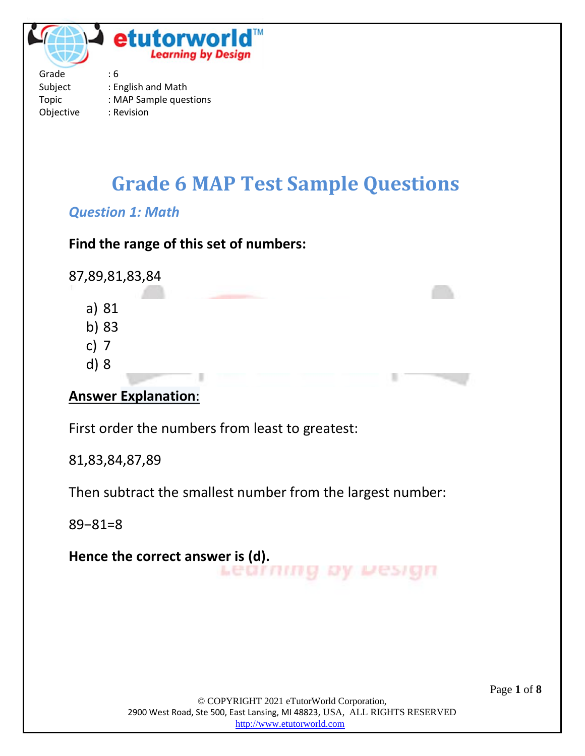

Topic : MAP Sample questions Objective : Revision

# **Grade 6 MAP Test Sample Questions**

#### *Question 1: Math*

#### **Find the range of this set of numbers:**

87,89,81,83,84

- a) 81
- b) 83
- c) 7
- d) 8

#### **Answer Explanation**:

First order the numbers from least to greatest:

81,83,84,87,89

Then subtract the smallest number from the largest number:

89−81=8

**Hence the correct answer is (d).**Learning by Design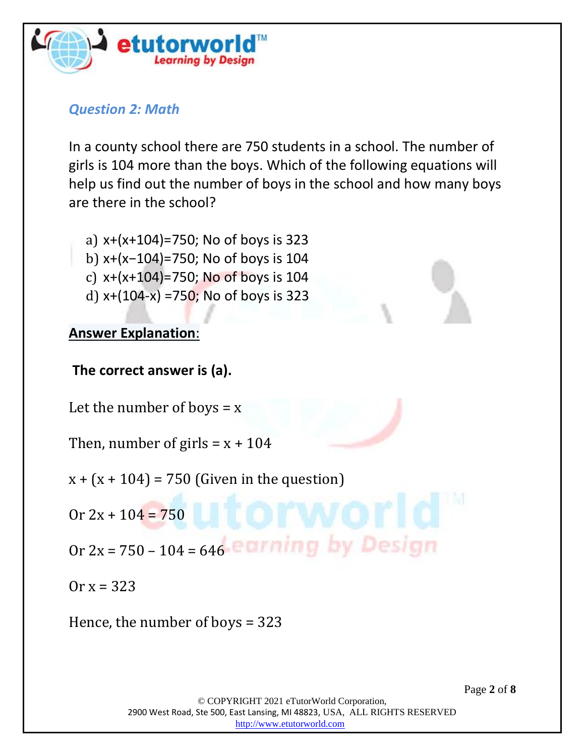

#### *Question 2: Math*

In a county school there are 750 students in a school. The number of girls is 104 more than the boys. Which of the following equations will help us find out the number of boys in the school and how many boys are there in the school?

- a) x+(x+104)=750; No of boys is 323
- b) x+(x−104)=750; No of boys is 104
- c)  $x+(x+104)=750$ ; No of boys is 104
- d)  $x+(104-x) = 750$ ; No of boys is 323

#### **Answer Explanation**:

**The correct answer is (a).**

Let the number of boys  $= x$ 

Then, number of girls =  $x + 104$ 

- $x + (x + 104) = 750$  (Given in the question)
- $0r 2x + 104 = 750$
- Or  $2x = 750 104 = 646$  earning by Design

 $0r x = 323$ 

Hence, the number of boys = 323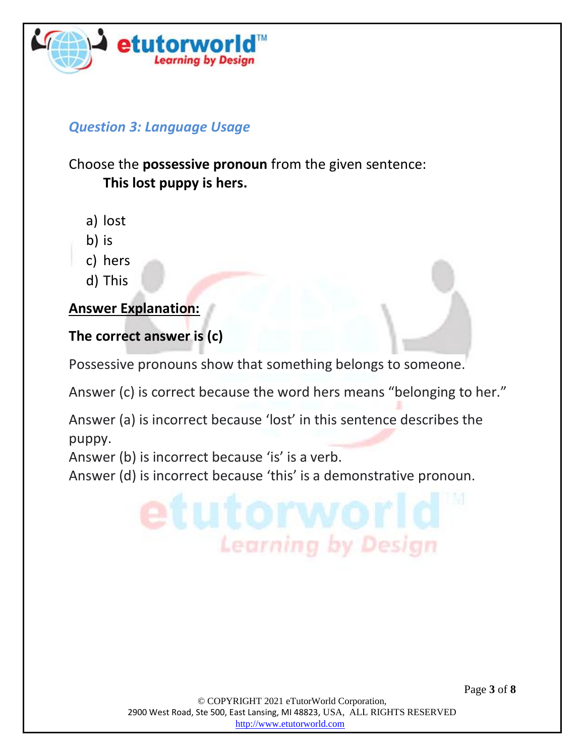

## *Question 3: Language Usage*

# Choose the **possessive pronoun** from the given sentence: **This lost puppy is hers.**

- a) lost
- b) is
- c) hers
- d) This

#### **Answer Explanation:**

# **The correct answer is (c)**

Possessive pronouns show that something belongs to someone.

Answer (c) is correct because the word hers means "belonging to her."

Answer (a) is incorrect because 'lost' in this sentence describes the puppy.

Answer (b) is incorrect because 'is' is a verb.

Answer (d) is incorrect because 'this' is a demonstrative pronoun.

© COPYRIGHT 2021 eTutorWorld Corporation, 2900 West Road, Ste 500, East Lansing, MI 48823, USA, ALL RIGHTS RESERVED [http://www.etutorworld.com](http://www.etutorworld.com/)

**Learning by Design** 

Page **3** of **8**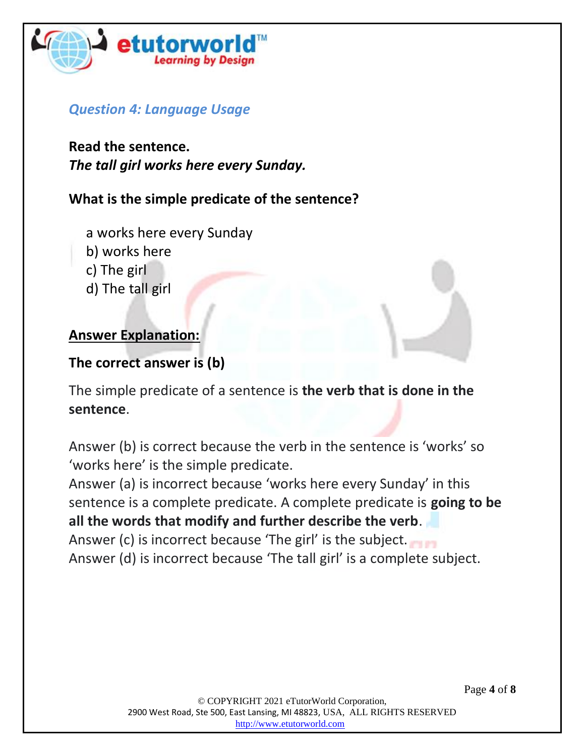

#### *Question 4: Language Usage*

**Read the sentence.** *The tall girl works here every Sunday.*

#### **What is the simple predicate of the sentence?**

- a works here every Sunday
- b) works here
- c) The girl
- d) The tall girl

#### **Answer Explanation:**

#### **The correct answer is (b)**

The simple predicate of a sentence is **the verb that is done in the sentence**.

Answer (b) is correct because the verb in the sentence is 'works' so 'works here' is the simple predicate.

Answer (a) is incorrect because 'works here every Sunday' in this sentence is a complete predicate. A complete predicate is **going to be all the words that modify and further describe the verb**. Answer (c) is incorrect because 'The girl' is the subject.

Answer (d) is incorrect because 'The tall girl' is a complete subject.

Page **4** of **8**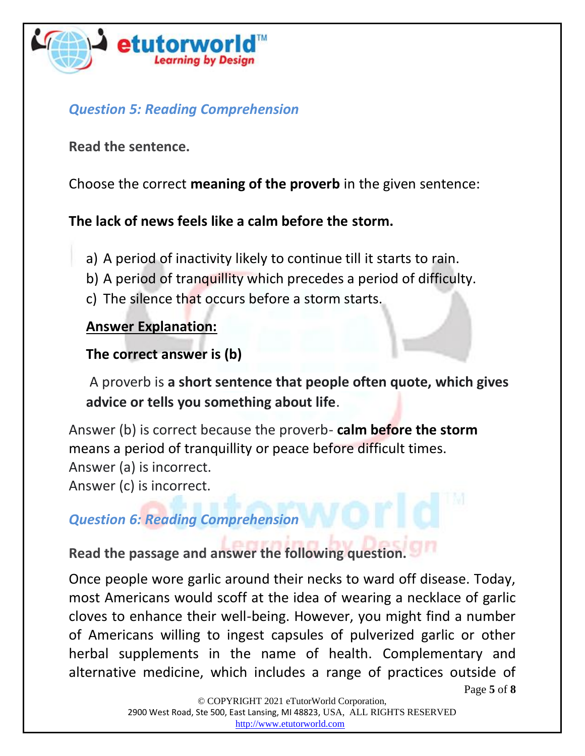

# *Question 5: Reading Comprehension*

**Read the sentence.**

Choose the correct **meaning of the proverb** in the given sentence:

# **The lack of news feels like a calm before the storm.**

- a) A period of inactivity likely to continue till it starts to rain.
- b) A period of tranquillity which precedes a period of difficulty.
- c) The silence that occurs before a storm starts.

### **Answer Explanation:**

# **The correct answer is (b)**

A proverb is **a short sentence that people often quote, which gives advice or tells you something about life**.

Answer (b) is correct because the proverb- **calm before the storm**  means a period of tranquillity or peace before difficult times. Answer (a) is incorrect. Answer (c) is incorrect.

### *Question 6: Reading Comprehension*

**Read the passage and answer the following question.**

Once people wore garlic around their necks to ward off disease. Today, most Americans would scoff at the idea of wearing a necklace of garlic cloves to enhance their well-being. However, you might find a number of Americans willing to ingest capsules of pulverized garlic or other herbal supplements in the name of health. Complementary and alternative medicine, which includes a range of practices outside of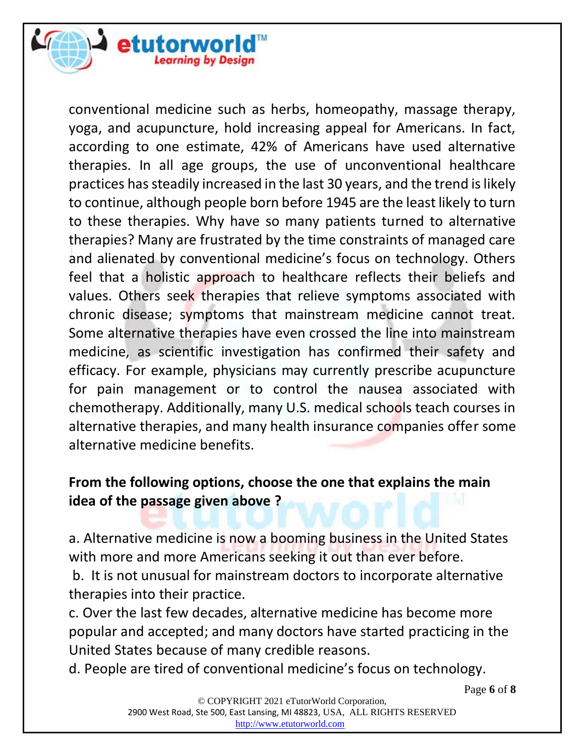

conventional medicine such as herbs, homeopathy, massage therapy, yoga, and acupuncture, hold increasing appeal for Americans. In fact, according to one estimate, 42% of Americans have used alternative therapies. In all age groups, the use of unconventional healthcare practices has steadily increased in the last 30 years, and the trend is likely to continue, although people born before 1945 are the least likely to turn to these therapies. Why have so many patients turned to alternative therapies? Many are frustrated by the time constraints of managed care and alienated by conventional medicine's focus on technology. Others feel that a holistic approach to healthcare reflects their beliefs and values. Others seek therapies that relieve symptoms associated with chronic disease; symptoms that mainstream medicine cannot treat. Some alternative therapies have even crossed the line into mainstream medicine, as scientific investigation has confirmed their safety and efficacy. For example, physicians may currently prescribe acupuncture for pain management or to control the nausea associated with chemotherapy. Additionally, many U.S. medical schools teach courses in alternative therapies, and many health insurance companies offer some alternative medicine benefits.

# **From the following options, choose the one that explains the main idea of the passage given above ?**

a. Alternative medicine is now a booming business in the United States with more and more Americans seeking it out than ever before.

b. It is not unusual for mainstream doctors to incorporate alternative therapies into their practice.

c. Over the last few decades, alternative medicine has become more popular and accepted; and many doctors have started practicing in the United States because of many credible reasons.

d. People are tired of conventional medicine's focus on technology.

Page **6** of **8**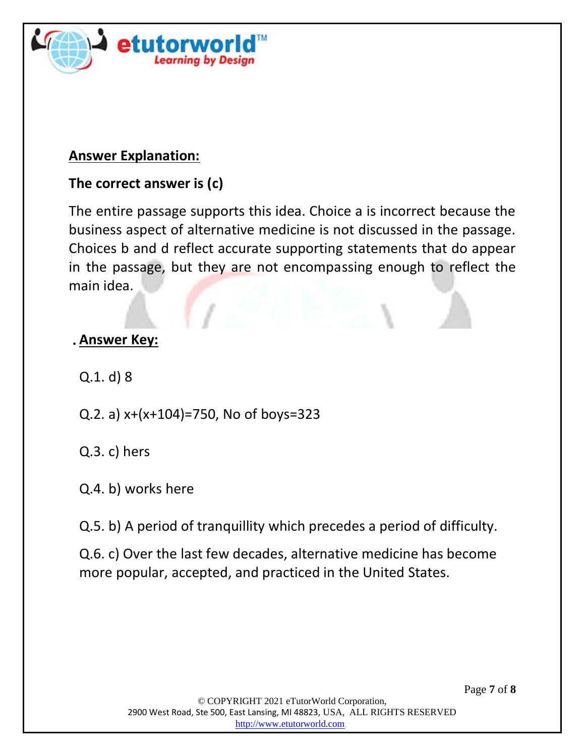

#### **Answer Explanation:**

### **The correct answer is (c)**

The entire passage supports this idea. Choice a is incorrect because the business aspect of alternative medicine is not discussed in the passage. Choices b and d reflect accurate supporting statements that do appear in the passage, but they are not encompassing enough to reflect the main idea.

#### **. Answer Key:**

Q.1. d) 8

- Q.2. a) x+(x+104)=750, No of boys=323
- Q.3. c) hers
- Q.4. b) works here
- Q.5. b) A period of tranquillity which precedes a period of difficulty.
- Q.6. c) Over the last few decades, alternative medicine has become more popular, accepted, and practiced in the United States.